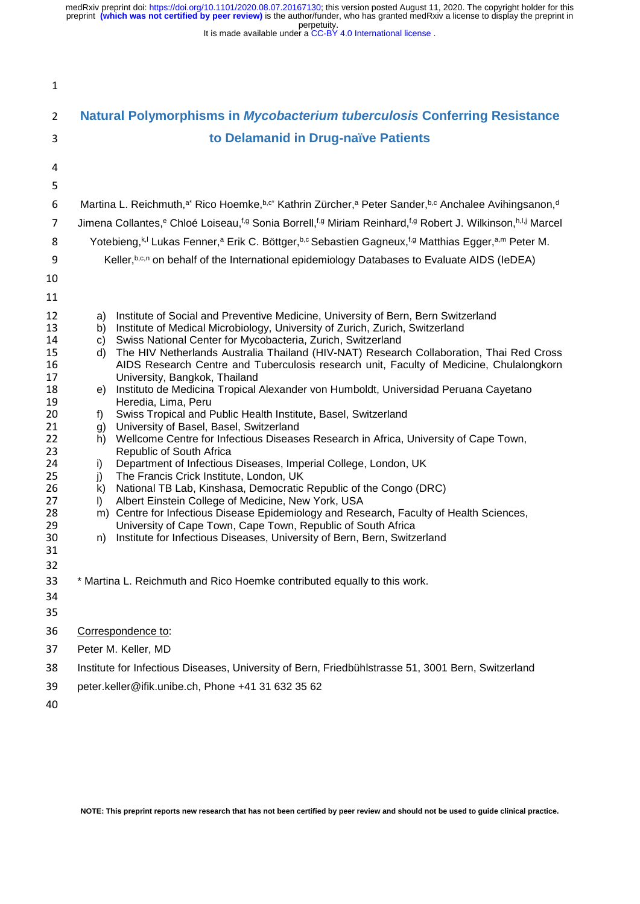perpetuity. medRxiv preprint doi: [https://doi.org/10.1101/2020.08.07.20167130;](https://doi.org/10.1101/2020.08.07.20167130) this version posted August 11, 2020. The copyright holder for this<br>preprint **(which was not certified by peer review)** is the author/funder, who has grant

It is made available under a CC-BY 4.0 International license.

| $\mathbf{1}$                                                                                                               |                                                                                                                                                                                                                                                                                                                                                                                                                                                                                                                                                                                                                                                                                                                                                                                                                                                                                                                                                                                                                                                                                                                                                                                                                                                                                                                                                                                   |  |  |  |  |  |  |  |  |
|----------------------------------------------------------------------------------------------------------------------------|-----------------------------------------------------------------------------------------------------------------------------------------------------------------------------------------------------------------------------------------------------------------------------------------------------------------------------------------------------------------------------------------------------------------------------------------------------------------------------------------------------------------------------------------------------------------------------------------------------------------------------------------------------------------------------------------------------------------------------------------------------------------------------------------------------------------------------------------------------------------------------------------------------------------------------------------------------------------------------------------------------------------------------------------------------------------------------------------------------------------------------------------------------------------------------------------------------------------------------------------------------------------------------------------------------------------------------------------------------------------------------------|--|--|--|--|--|--|--|--|
| $\overline{2}$                                                                                                             | Natural Polymorphisms in Mycobacterium tuberculosis Conferring Resistance                                                                                                                                                                                                                                                                                                                                                                                                                                                                                                                                                                                                                                                                                                                                                                                                                                                                                                                                                                                                                                                                                                                                                                                                                                                                                                         |  |  |  |  |  |  |  |  |
| 3                                                                                                                          | to Delamanid in Drug-naïve Patients                                                                                                                                                                                                                                                                                                                                                                                                                                                                                                                                                                                                                                                                                                                                                                                                                                                                                                                                                                                                                                                                                                                                                                                                                                                                                                                                               |  |  |  |  |  |  |  |  |
| 4                                                                                                                          |                                                                                                                                                                                                                                                                                                                                                                                                                                                                                                                                                                                                                                                                                                                                                                                                                                                                                                                                                                                                                                                                                                                                                                                                                                                                                                                                                                                   |  |  |  |  |  |  |  |  |
| 5                                                                                                                          |                                                                                                                                                                                                                                                                                                                                                                                                                                                                                                                                                                                                                                                                                                                                                                                                                                                                                                                                                                                                                                                                                                                                                                                                                                                                                                                                                                                   |  |  |  |  |  |  |  |  |
| 6                                                                                                                          | Martina L. Reichmuth, <sup>a*</sup> Rico Hoemke, b,c* Kathrin Zürcher, <sup>a</sup> Peter Sander, b,c Anchalee Avihingsanon, <sup>d</sup>                                                                                                                                                                                                                                                                                                                                                                                                                                                                                                                                                                                                                                                                                                                                                                                                                                                                                                                                                                                                                                                                                                                                                                                                                                         |  |  |  |  |  |  |  |  |
| 7                                                                                                                          | Jimena Collantes, <sup>e</sup> Chloé Loiseau, <sup>f,g</sup> Sonia Borrell, <sup>f,g</sup> Miriam Reinhard,f,g Robert J. Wilkinson,h,l,j Marcel                                                                                                                                                                                                                                                                                                                                                                                                                                                                                                                                                                                                                                                                                                                                                                                                                                                                                                                                                                                                                                                                                                                                                                                                                                   |  |  |  |  |  |  |  |  |
| 8                                                                                                                          | Yotebieng, k,l Lukas Fenner, <sup>a</sup> Erik C. Böttger, b,c Sebastien Gagneux, f,g Matthias Egger, a,m Peter M.                                                                                                                                                                                                                                                                                                                                                                                                                                                                                                                                                                                                                                                                                                                                                                                                                                                                                                                                                                                                                                                                                                                                                                                                                                                                |  |  |  |  |  |  |  |  |
|                                                                                                                            |                                                                                                                                                                                                                                                                                                                                                                                                                                                                                                                                                                                                                                                                                                                                                                                                                                                                                                                                                                                                                                                                                                                                                                                                                                                                                                                                                                                   |  |  |  |  |  |  |  |  |
| 9                                                                                                                          | Keller, b,c,n on behalf of the International epidemiology Databases to Evaluate AIDS (IeDEA)                                                                                                                                                                                                                                                                                                                                                                                                                                                                                                                                                                                                                                                                                                                                                                                                                                                                                                                                                                                                                                                                                                                                                                                                                                                                                      |  |  |  |  |  |  |  |  |
| 10                                                                                                                         |                                                                                                                                                                                                                                                                                                                                                                                                                                                                                                                                                                                                                                                                                                                                                                                                                                                                                                                                                                                                                                                                                                                                                                                                                                                                                                                                                                                   |  |  |  |  |  |  |  |  |
| 11<br>12<br>13<br>14<br>15<br>16<br>17<br>18<br>19<br>20<br>21<br>22<br>23<br>24<br>25<br>26<br>27<br>28<br>29<br>30<br>31 | Institute of Social and Preventive Medicine, University of Bern, Bern Switzerland<br>a)<br>Institute of Medical Microbiology, University of Zurich, Zurich, Switzerland<br>b)<br>Swiss National Center for Mycobacteria, Zurich, Switzerland<br>C)<br>The HIV Netherlands Australia Thailand (HIV-NAT) Research Collaboration, Thai Red Cross<br>d)<br>AIDS Research Centre and Tuberculosis research unit, Faculty of Medicine, Chulalongkorn<br>University, Bangkok, Thailand<br>Instituto de Medicina Tropical Alexander von Humboldt, Universidad Peruana Cayetano<br>e)<br>Heredia, Lima, Peru<br>Swiss Tropical and Public Health Institute, Basel, Switzerland<br>f)<br>University of Basel, Basel, Switzerland<br>g)<br>Wellcome Centre for Infectious Diseases Research in Africa, University of Cape Town,<br>h)<br>Republic of South Africa<br>Department of Infectious Diseases, Imperial College, London, UK<br>i)<br>The Francis Crick Institute, London, UK<br>j)<br>National TB Lab, Kinshasa, Democratic Republic of the Congo (DRC)<br>k)<br>Albert Einstein College of Medicine, New York, USA<br>$\mathbf{D}$<br>Centre for Infectious Disease Epidemiology and Research, Faculty of Health Sciences,<br>m)<br>University of Cape Town, Cape Town, Republic of South Africa<br>Institute for Infectious Diseases, University of Bern, Bern, Switzerland<br>n) |  |  |  |  |  |  |  |  |
| 32<br>33<br>34<br>35                                                                                                       | * Martina L. Reichmuth and Rico Hoemke contributed equally to this work.                                                                                                                                                                                                                                                                                                                                                                                                                                                                                                                                                                                                                                                                                                                                                                                                                                                                                                                                                                                                                                                                                                                                                                                                                                                                                                          |  |  |  |  |  |  |  |  |
| 36                                                                                                                         | Correspondence to:                                                                                                                                                                                                                                                                                                                                                                                                                                                                                                                                                                                                                                                                                                                                                                                                                                                                                                                                                                                                                                                                                                                                                                                                                                                                                                                                                                |  |  |  |  |  |  |  |  |
| 37                                                                                                                         | Peter M. Keller, MD                                                                                                                                                                                                                                                                                                                                                                                                                                                                                                                                                                                                                                                                                                                                                                                                                                                                                                                                                                                                                                                                                                                                                                                                                                                                                                                                                               |  |  |  |  |  |  |  |  |
| 38                                                                                                                         | Institute for Infectious Diseases, University of Bern, Friedbühlstrasse 51, 3001 Bern, Switzerland                                                                                                                                                                                                                                                                                                                                                                                                                                                                                                                                                                                                                                                                                                                                                                                                                                                                                                                                                                                                                                                                                                                                                                                                                                                                                |  |  |  |  |  |  |  |  |
| 39                                                                                                                         | peter.keller@ifik.unibe.ch, Phone +41 31 632 35 62                                                                                                                                                                                                                                                                                                                                                                                                                                                                                                                                                                                                                                                                                                                                                                                                                                                                                                                                                                                                                                                                                                                                                                                                                                                                                                                                |  |  |  |  |  |  |  |  |
|                                                                                                                            |                                                                                                                                                                                                                                                                                                                                                                                                                                                                                                                                                                                                                                                                                                                                                                                                                                                                                                                                                                                                                                                                                                                                                                                                                                                                                                                                                                                   |  |  |  |  |  |  |  |  |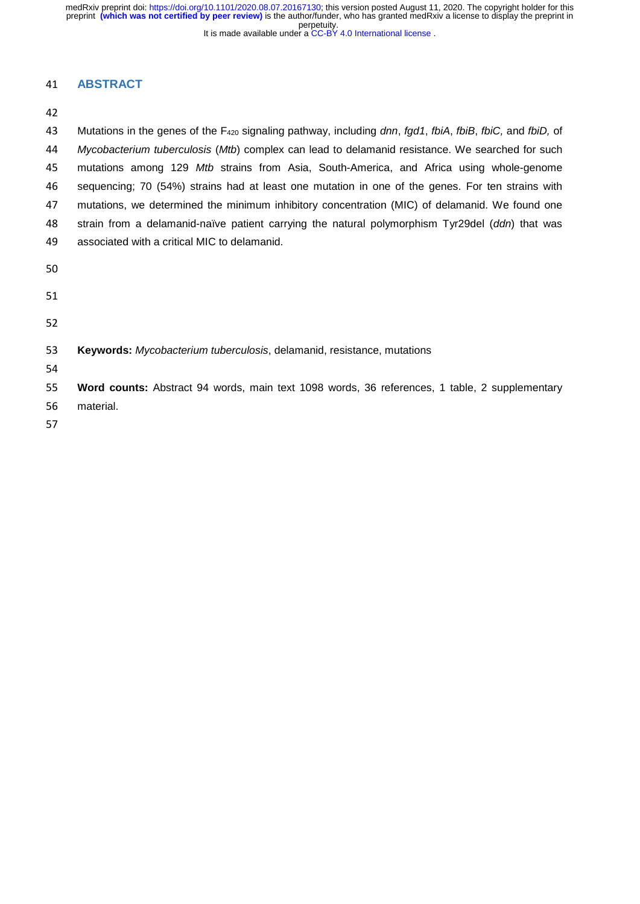It is made available under a CC-BY 4.0 International license. perpetuity. medRxiv preprint doi: [https://doi.org/10.1101/2020.08.07.20167130;](https://doi.org/10.1101/2020.08.07.20167130) this version posted August 11, 2020. The copyright holder for this<br>preprint **(which was not certified by peer review)** is the author/funder, who has grant

### **ABSTRACT**

| 43 | Mutations in the genes of the $F_{420}$ signaling pathway, including dnn, fgd1, fbiA, fbiB, fbiC, and fbiD, of |  |  |  |  |  |  |  |
|----|----------------------------------------------------------------------------------------------------------------|--|--|--|--|--|--|--|
| 44 | Mycobacterium tuberculosis (Mtb) complex can lead to delamanid resistance. We searched for such                |  |  |  |  |  |  |  |
| 45 | mutations among 129 Mtb strains from Asia, South-America, and Africa using whole-genome                        |  |  |  |  |  |  |  |
| 46 | sequencing; 70 (54%) strains had at least one mutation in one of the genes. For ten strains with               |  |  |  |  |  |  |  |
| 47 | mutations, we determined the minimum inhibitory concentration (MIC) of delamanid. We found one                 |  |  |  |  |  |  |  |
| 48 | strain from a delamanid-naïve patient carrying the natural polymorphism Tyr29del (ddn) that was                |  |  |  |  |  |  |  |
| 49 | associated with a critical MIC to delamanid.                                                                   |  |  |  |  |  |  |  |
| 50 |                                                                                                                |  |  |  |  |  |  |  |
| 51 |                                                                                                                |  |  |  |  |  |  |  |
| 52 |                                                                                                                |  |  |  |  |  |  |  |
| 53 | <b>Keywords:</b> Mycobacterium tuberculosis, delamanid, resistance, mutations                                  |  |  |  |  |  |  |  |
| 54 |                                                                                                                |  |  |  |  |  |  |  |
| 55 | Word counts: Abstract 94 words, main text 1098 words, 36 references, 1 table, 2 supplementary                  |  |  |  |  |  |  |  |
| 56 | material.                                                                                                      |  |  |  |  |  |  |  |
| 57 |                                                                                                                |  |  |  |  |  |  |  |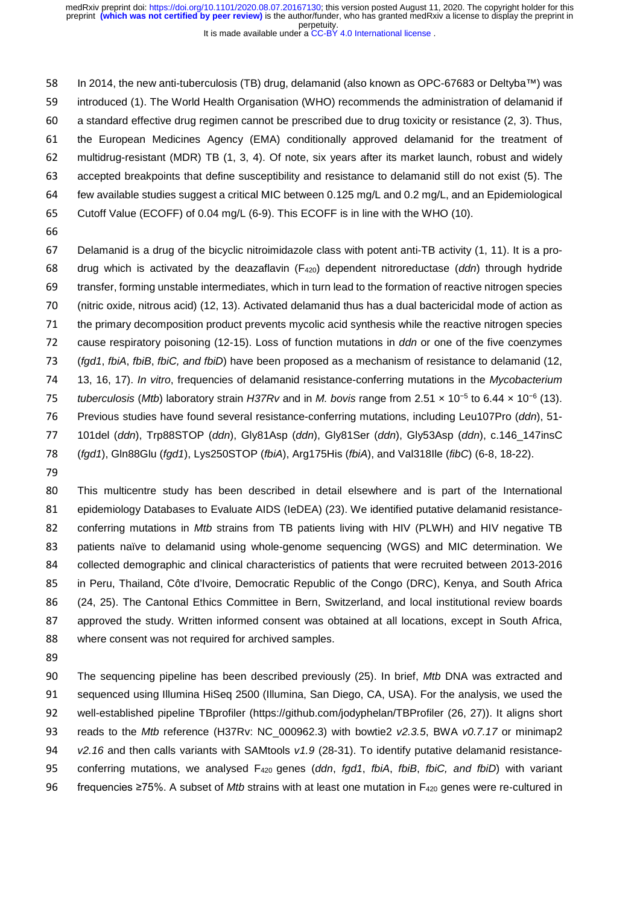perpetuity. preprint **(which was not certified by peer review)** is the author/funder, who has granted medRxiv a license to display the preprint in medRxiv preprint doi: [https://doi.org/10.1101/2020.08.07.20167130;](https://doi.org/10.1101/2020.08.07.20167130) this version posted August 11, 2020. The copyright holder for this

It is made available under a CC-BY 4.0 International license.

 In 2014, the new anti-tuberculosis (TB) drug, delamanid (also known as OPC-67683 or Deltyba™) was introduced (1). The World Health Organisation (WHO) recommends the administration of delamanid if a standard effective drug regimen cannot be prescribed due to drug toxicity or resistance (2, 3). Thus, the European Medicines Agency (EMA) conditionally approved delamanid for the treatment of multidrug-resistant (MDR) TB (1, 3, 4). Of note, six years after its market launch, robust and widely accepted breakpoints that define susceptibility and resistance to delamanid still do not exist (5). The few available studies suggest a critical MIC between 0.125 mg/L and 0.2 mg/L, and an Epidemiological Cutoff Value (ECOFF) of 0.04 mg/L (6-9). This ECOFF is in line with the WHO (10).

 Delamanid is a drug of the bicyclic nitroimidazole class with potent anti-TB activity (1, 11). It is a pro- drug which is activated by the deazaflavin (F420) dependent nitroreductase (*ddn*) through hydride transfer, forming unstable intermediates, which in turn lead to the formation of reactive nitrogen species (nitric oxide, nitrous acid) (12, 13). Activated delamanid thus has a dual bactericidal mode of action as the primary decomposition product prevents mycolic acid synthesis while the reactive nitrogen species cause respiratory poisoning (12-15). Loss of function mutations in *ddn* or one of the five coenzymes (*fgd1*, *fbiA*, *fbiB*, *fbiC, and fbiD*) have been proposed as a mechanism of resistance to delamanid (12, 13, 16, 17). *In vitro*, frequencies of delamanid resistance-conferring mutations in the *Mycobacterium tuberculosis* (*Mtb*) laboratory strain *H37Rv* and in *M. bovis* range from 2.51 × 10<sup>−</sup><sup>5</sup> to 6.44 × 10<sup>−</sup><sup>6</sup> (13). Previous studies have found several resistance-conferring mutations, including Leu107Pro (*ddn*), 51- 101del (*ddn*), Trp88STOP (*ddn*), Gly81Asp (*ddn*), Gly81Ser (*ddn*), Gly53Asp (*ddn*), c.146\_147insC (*fgd1*), Gln88Glu (*fgd1*), Lys250STOP (*fbiA*), Arg175His (*fbiA*), and Val318Ile (*fibC*) (6-8, 18-22).

 This multicentre study has been described in detail elsewhere and is part of the International epidemiology Databases to Evaluate AIDS (IeDEA) (23). We identified putative delamanid resistance- conferring mutations in *Mtb* strains from TB patients living with HIV (PLWH) and HIV negative TB patients naïve to delamanid using whole-genome sequencing (WGS) and MIC determination. We collected demographic and clinical characteristics of patients that were recruited between 2013-2016 in Peru, Thailand, Côte d'Ivoire, Democratic Republic of the Congo (DRC), Kenya, and South Africa (24, 25). The Cantonal Ethics Committee in Bern, Switzerland, and local institutional review boards approved the study. Written informed consent was obtained at all locations, except in South Africa, where consent was not required for archived samples.

 The sequencing pipeline has been described previously (25). In brief, *Mtb* DNA was extracted and sequenced using Illumina HiSeq 2500 (Illumina, San Diego, CA, USA). For the analysis, we used the well-established pipeline TBprofiler [\(https://github.com/jodyphelan/TBProfiler](https://github.com/jodyphelan/TBProfiler) (26, 27)). It aligns short reads to the *Mtb* reference (H37Rv: NC\_000962.3) with bowtie2 *v2.3.5*, BWA *v0.7.17* or minimap2 *v2.16* and then calls variants with SAMtools *v1.9* (28-31). To identify putative delamanid resistance- conferring mutations, we analysed F420 genes (*ddn*, *fgd1*, *fbiA*, *fbiB*, *fbiC, and fbiD*) with variant frequencies ≥75%. A subset of *Mtb* strains with at least one mutation in F420 genes were re-cultured in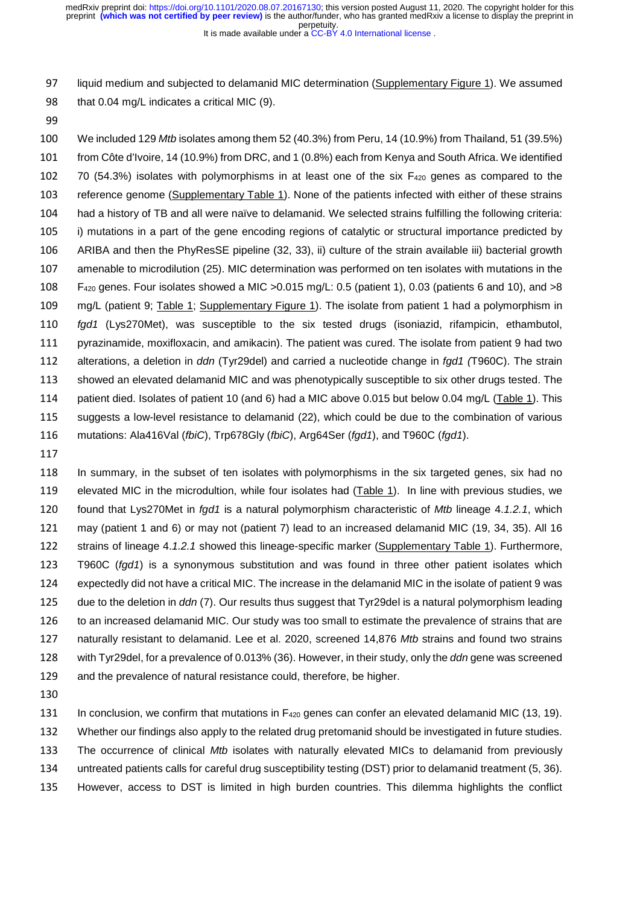It is made available under a CC-BY 4.0 International license. perpetuity. preprint **(which was not certified by peer review)** is the author/funder, who has granted medRxiv a license to display the preprint in medRxiv preprint doi: [https://doi.org/10.1101/2020.08.07.20167130;](https://doi.org/10.1101/2020.08.07.20167130) this version posted August 11, 2020. The copyright holder for this

 liquid medium and subjected to delamanid MIC determination (Supplementary Figure 1). We assumed 98 that 0.04 mg/L indicates a critical MIC (9).

 We included 129 *Mtb* isolates among them 52 (40.3%) from Peru, 14 (10.9%) from Thailand, 51 (39.5%) from Côte d'Ivoire, 14 (10.9%) from DRC, and 1 (0.8%) each from Kenya and South Africa. We identified 102 70 (54.3%) isolates with polymorphisms in at least one of the six  $F_{420}$  genes as compared to the reference genome (Supplementary Table 1). None of the patients infected with either of these strains had a history of TB and all were naïve to delamanid. We selected strains fulfilling the following criteria: i) mutations in a part of the gene encoding regions of catalytic or structural importance predicted by ARIBA and then the PhyResSE pipeline (32, 33), ii) culture of the strain available iii) bacterial growth amenable to microdilution (25). MIC determination was performed on ten isolates with mutations in the F420 genes. Four isolates showed a MIC >0.015 mg/L: 0.5 (patient 1), 0.03 (patients 6 and 10), and >8 109 mg/L (patient 9; Table 1; Supplementary Figure 1). The isolate from patient 1 had a polymorphism in *fgd1* (Lys270Met), was susceptible to the six tested drugs (isoniazid, rifampicin, ethambutol, pyrazinamide, moxifloxacin, and amikacin). The patient was cured. The isolate from patient 9 had two alterations, a deletion in *ddn* (Tyr29del) and carried a nucleotide change in *fgd1 (*T960C). The strain showed an elevated delamanid MIC and was phenotypically susceptible to six other drugs tested. The patient died. Isolates of patient 10 (and 6) had a MIC above 0.015 but below 0.04 mg/L (Table 1). This suggests a low-level resistance to delamanid (22), which could be due to the combination of various mutations: Ala416Val (*fbiC*), Trp678Gly (*fbiC*), Arg64Ser (*fgd1*), and T960C (*fgd1*).

 In summary, in the subset of ten isolates with polymorphisms in the six targeted genes, six had no elevated MIC in the microdultion, while four isolates had (Table 1). In line with previous studies, we found that Lys270Met in *fgd1* is a natural polymorphism characteristic of *Mtb* lineage 4.*1.2.1*, which may (patient 1 and 6) or may not (patient 7) lead to an increased delamanid MIC (19, 34, 35). All 16 strains of lineage 4.*1.2.1* showed this lineage-specific marker (Supplementary Table 1). Furthermore, T960C (*fgd1*) is a synonymous substitution and was found in three other patient isolates which expectedly did not have a critical MIC. The increase in the delamanid MIC in the isolate of patient 9 was due to the deletion in *ddn* (7). Our results thus suggest that Tyr29del is a natural polymorphism leading 126 to an increased delamanid MIC. Our study was too small to estimate the prevalence of strains that are naturally resistant to delamanid. Lee et al. 2020, screened 14,876 *Mtb* strains and found two strains with Tyr29del, for a prevalence of 0.013% (36). However, in their study, only the *ddn* gene was screened and the prevalence of natural resistance could, therefore, be higher.

131 In conclusion, we confirm that mutations in  $F_{420}$  genes can confer an elevated delamanid MIC (13, 19).

Whether our findings also apply to the related drug pretomanid should be investigated in future studies.

The occurrence of clinical *Mtb* isolates with naturally elevated MICs to delamanid from previously

- untreated patients calls for careful drug susceptibility testing (DST) prior to delamanid treatment (5, 36).
- However, access to DST is limited in high burden countries. This dilemma highlights the conflict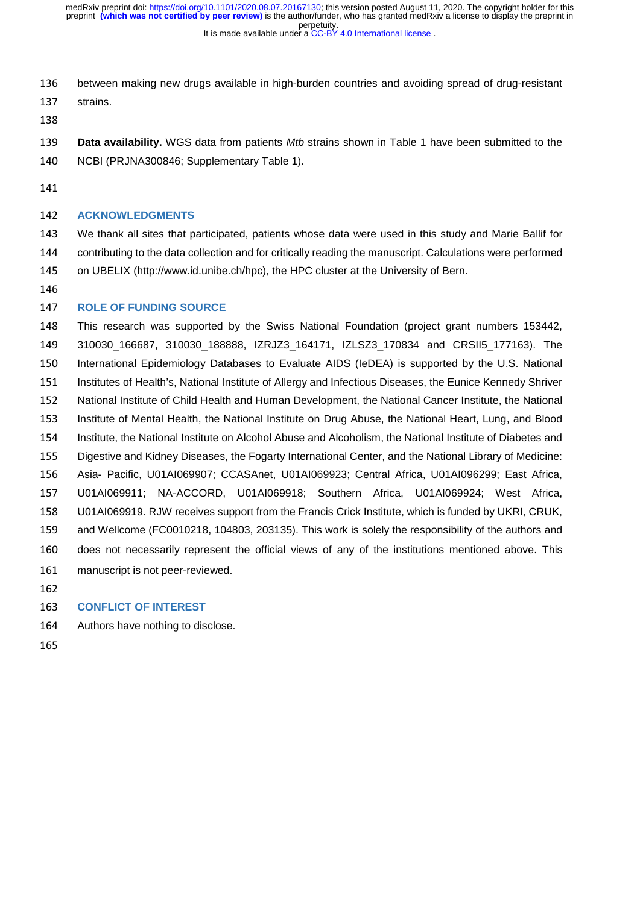It is made available under a CC-BY 4.0 International license. perpetuity. preprint **(which was not certified by peer review)** is the author/funder, who has granted medRxiv a license to display the preprint in medRxiv preprint doi: [https://doi.org/10.1101/2020.08.07.20167130;](https://doi.org/10.1101/2020.08.07.20167130) this version posted August 11, 2020. The copyright holder for this

- between making new drugs available in high-burden countries and avoiding spread of drug-resistant strains.
- 
- **Data availability.** WGS data from patients *Mtb* strains shown in Table 1 have been submitted to the NCBI (PRJNA300846; Supplementary Table 1).
- 

### **ACKNOWLEDGMENTS**

 We thank all sites that participated, patients whose data were used in this study and Marie Ballif for contributing to the data collection and for critically reading the manuscript. Calculations were performed on UBELIX (http://www.id.unibe.ch/hpc), the HPC cluster at the University of Bern.

### **ROLE OF FUNDING SOURCE**

 This research was supported by the Swiss National Foundation (project grant numbers 153442, 310030\_166687, 310030\_188888, IZRJZ3\_164171, IZLSZ3\_170834 and CRSII5\_177163). The International Epidemiology Databases to Evaluate AIDS (IeDEA) is supported by the U.S. National Institutes of Health's, National Institute of Allergy and Infectious Diseases, the Eunice Kennedy Shriver National Institute of Child Health and Human Development, the National Cancer Institute, the National Institute of Mental Health, the National Institute on Drug Abuse, the National Heart, Lung, and Blood Institute, the National Institute on Alcohol Abuse and Alcoholism, the National Institute of Diabetes and Digestive and Kidney Diseases, the Fogarty International Center, and the National Library of Medicine: Asia- Pacific, U01AI069907; CCASAnet, U01AI069923; Central Africa, U01AI096299; East Africa, U01AI069911; NA-ACCORD, U01AI069918; Southern Africa, U01AI069924; West Africa, U01AI069919. RJW receives support from the Francis Crick Institute, which is funded by UKRI, CRUK, and Wellcome (FC0010218, 104803, 203135). This work is solely the responsibility of the authors and does not necessarily represent the official views of any of the institutions mentioned above. This manuscript is not peer-reviewed.

# **CONFLICT OF INTEREST**

- Authors have nothing to disclose.
-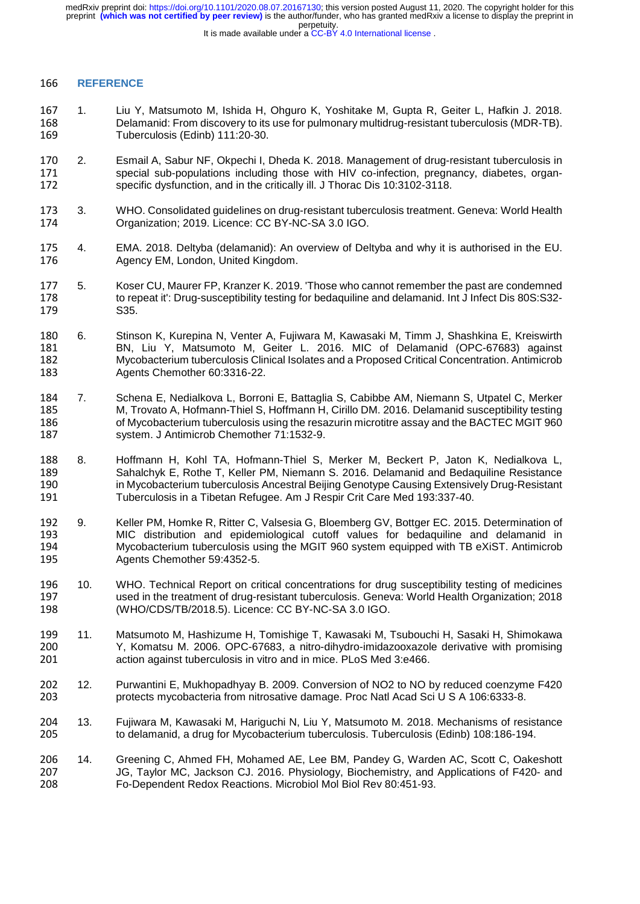perpetuity. preprint **(which was not certified by peer review)** is the author/funder, who has granted medRxiv a license to display the preprint in medRxiv preprint doi: [https://doi.org/10.1101/2020.08.07.20167130;](https://doi.org/10.1101/2020.08.07.20167130) this version posted August 11, 2020. The copyright holder for this

It is made available under a CC-BY 4.0 International license.

#### **REFERENCE**

- 1. Liu Y, Matsumoto M, Ishida H, Ohguro K, Yoshitake M, Gupta R, Geiter L, Hafkin J. 2018. 168 Delamanid: From discovery to its use for pulmonary multidrug-resistant tuberculosis (MDR-TB).<br>169 Tuberculosis (Edinb) 111:20-30. Tuberculosis (Edinb) 111:20-30.
- 170 2. Esmail A, Sabur NF, Okpechi I, Dheda K. 2018. Management of drug-resistant tuberculosis in<br>171 special sub-populations including those with HIV co-infection, pregnancy, diabetes, organspecial sub-populations including those with HIV co-infection, pregnancy, diabetes, organ-specific dysfunction, and in the critically ill. J Thorac Dis 10:3102-3118.
- 3. WHO. Consolidated guidelines on drug-resistant tuberculosis treatment. Geneva: World Health Organization; 2019. Licence: CC BY-NC-SA 3.0 IGO.
- 4. EMA. 2018. Deltyba (delamanid): An overview of Deltyba and why it is authorised in the EU. Agency EM, London, United Kingdom.
- 177 5. Koser CU, Maurer FP, Kranzer K. 2019. 'Those who cannot remember the past are condemned<br>178 to repeat it': Drug-susceptibility testing for bedaguiline and delamanid. Int J Infect Dis 80S:S32-178 to repeat it': Drug-susceptibility testing for bedaquiline and delamanid. Int J Infect Dis 80S:S32-<br>179 535. S35.
- 180 6. Stinson K, Kurepina N, Venter A, Fujiwara M, Kawasaki M, Timm J, Shashkina E, Kreiswirth<br>181 BN, Liu Y, Matsumoto M, Geiter L. 2016. MIC of Delamanid (OPC-67683) against 181 BN, Liu Y, Matsumoto M, Geiter L. 2016. MIC of Delamanid (OPC-67683) against<br>182 Mycobacterium tuberculosis Clinical Isolates and a Proposed Critical Concentration. Antimicrob Mycobacterium tuberculosis Clinical Isolates and a Proposed Critical Concentration. Antimicrob Agents Chemother 60:3316-22.
- 7. Schena E, Nedialkova L, Borroni E, Battaglia S, Cabibbe AM, Niemann S, Utpatel C, Merker M, Trovato A, Hofmann-Thiel S, Hoffmann H, Cirillo DM. 2016. Delamanid susceptibility testing 186 of Mycobacterium tuberculosis using the resazurin microtitre assay and the BACTEC MGIT 960 system. J Antimicrob Chemother 71:1532-9.
- 8. Hoffmann H, Kohl TA, Hofmann-Thiel S, Merker M, Beckert P, Jaton K, Nedialkova L, Sahalchyk E, Rothe T, Keller PM, Niemann S. 2016. Delamanid and Bedaquiline Resistance in Mycobacterium tuberculosis Ancestral Beijing Genotype Causing Extensively Drug-Resistant Tuberculosis in a Tibetan Refugee. Am J Respir Crit Care Med 193:337-40.
- 9. Keller PM, Homke R, Ritter C, Valsesia G, Bloemberg GV, Bottger EC. 2015. Determination of 193 MIC distribution and epidemiological cutoff values for bedaquiline and delamanid in<br>194 Mycobacterium tuberculosis using the MGIT 960 system equipped with TB eXiST. Antimicrob Mycobacterium tuberculosis using the MGIT 960 system equipped with TB eXiST. Antimicrob Agents Chemother 59:4352-5.
- 196 10. WHO. Technical Report on critical concentrations for drug susceptibility testing of medicines<br>197 used in the treatment of drug-resistant tuberculosis. Geneva: World Health Organization: 2018 used in the treatment of drug-resistant tuberculosis. Geneva: World Health Organization; 2018 (WHO/CDS/TB/2018.5). Licence: CC BY-NC-SA 3.0 IGO.
- 11. Matsumoto M, Hashizume H, Tomishige T, Kawasaki M, Tsubouchi H, Sasaki H, Shimokawa Y, Komatsu M. 2006. OPC-67683, a nitro-dihydro-imidazooxazole derivative with promising action against tuberculosis in vitro and in mice. PLoS Med 3:e466.
- 12. Purwantini E, Mukhopadhyay B. 2009. Conversion of NO2 to NO by reduced coenzyme F420 protects mycobacteria from nitrosative damage. Proc Natl Acad Sci U S A 106:6333-8.
- 13. Fujiwara M, Kawasaki M, Hariguchi N, Liu Y, Matsumoto M. 2018. Mechanisms of resistance to delamanid, a drug for Mycobacterium tuberculosis. Tuberculosis (Edinb) 108:186-194.
- 14. Greening C, Ahmed FH, Mohamed AE, Lee BM, Pandey G, Warden AC, Scott C, Oakeshott 207 JG, Taylor MC, Jackson CJ. 2016. Physiology, Biochemistry, and Applications of F420- and 208<br>208 Fo-Dependent Redox Reactions. Microbiol Mol Biol Rev 80:451-93. Fo-Dependent Redox Reactions. Microbiol Mol Biol Rev 80:451-93.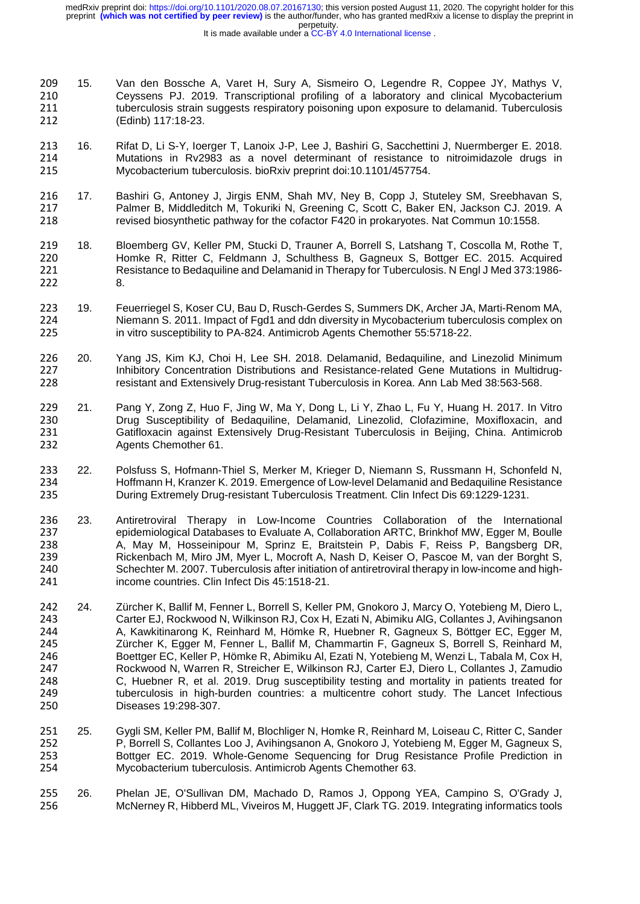perpetuity. preprint **(which was not certified by peer review)** is the author/funder, who has granted medRxiv a license to display the preprint in medRxiv preprint doi: [https://doi.org/10.1101/2020.08.07.20167130;](https://doi.org/10.1101/2020.08.07.20167130) this version posted August 11, 2020. The copyright holder for this

- 209 15. Van den Bossche A, Varet H, Sury A, Sismeiro O, Legendre R, Coppee JY, Mathys V, 210 Ceyssens PJ. 2019. Transcriptional profiling of a laboratory and clinical Mycobacterium 211 tuberculosis strain suggests respiratory poisoning upon exposure to delamanid. Tuberculosis 212 (Edinb) 117:18-23.
- 213 16. Rifat D, Li S-Y, Ioerger T, Lanoix J-P, Lee J, Bashiri G, Sacchettini J, Nuermberger E. 2018.<br>214 Mutations in Rv2983 as a novel determinant of resistance to nitroimidazole drugs in Mutations in Rv2983 as a novel determinant of resistance to nitroimidazole drugs in 215 Mycobacterium tuberculosis. bioRxiv preprint doi:10.1101/457754.
- 216 17. Bashiri G, Antoney J, Jirgis ENM, Shah MV, Ney B, Copp J, Stuteley SM, Sreebhavan S, 217 (2019). A Palmer B, Middleditch M, Tokuriki N, Greening C, Scott C, Baker EN, Jackson CJ. 2019. A 218 revised biosynthetic pathway for the cofactor F420 in prokaryotes. Nat Commun 10:1558.
- 219 18. Bloemberg GV, Keller PM, Stucki D, Trauner A, Borrell S, Latshang T, Coscolla M, Rothe T, 220<br>220 Homke R, Ritter C, Feldmann J, Schulthess B, Gagneux S, Bottger EC. 2015. Acquired Homke R, Ritter C, Feldmann J, Schulthess B, Gagneux S, Bottger EC. 2015. Acquired 221 Resistance to Bedaquiline and Delamanid in Therapy for Tuberculosis. N Engl J Med 373:1986- 222 8.
- 223 19. Feuerriegel S, Koser CU, Bau D, Rusch-Gerdes S, Summers DK, Archer JA, Marti-Renom MA, 224 Niemann S. 2011. Impact of Fgd1 and ddn diversity in Mycobacterium tuberculosis complex on 225 in vitro susceptibility to PA-824. Antimicrob Agents Chemother 55:5718-22.
- 226 20. Yang JS, Kim KJ, Choi H, Lee SH. 2018. Delamanid, Bedaquiline, and Linezolid Minimum 227 Inhibitory Concentration Distributions and Resistance-related Gene Mutations in Multidrug-<br>228 Tesistant and Extensively Drug-resistant Tuberculosis in Korea. Ann Lab Med 38:563-568. 228 resistant and Extensively Drug-resistant Tuberculosis in Korea. Ann Lab Med 38:563-568.
- 229 21. Pang Y, Zong Z, Huo F, Jing W, Ma Y, Dong L, Li Y, Zhao L, Fu Y, Huang H. 2017. In Vitro 230 Drug Susceptibility of Bedaquiline, Delamanid, Linezolid, Clofazimine, Moxifloxacin, and<br>231 Gatifloxacin against Extensively Drug-Resistant Tuberculosis in Beijing, China. Antimicrob 231 Gatifloxacin against Extensively Drug-Resistant Tuberculosis in Beijing, China. Antimicrob Agents Chemother 61.
- 233 22. Polsfuss S, Hofmann-Thiel S, Merker M, Krieger D, Niemann S, Russmann H, Schonfeld N, 234 the Hoffmann H, Kranzer K. 2019. Emergence of Low-level Delamanid and Bedaquiline Resistance 234 Hoffmann H, Kranzer K. 2019. Emergence of Low-level Delamanid and Bedaquiline Resistance<br>235 During Extremely Drug-resistant Tuberculosis Treatment. Clin Infect Dis 69:1229-1231. 235 During Extremely Drug-resistant Tuberculosis Treatment. Clin Infect Dis 69:1229-1231.
- 236 23. Antiretroviral Therapy in Low-Income Countries Collaboration of the International 237 epidemiological Databases to Evaluate A, Collaboration ARTC, Brinkhof MW, Egger M, Boulle<br>238 A, May M, Hosseinipour M, Sprinz E, Braitstein P, Dabis F, Reiss P, Bangsberg DR, 238 A, May M, Hosseinipour M, Sprinz E, Braitstein P, Dabis F, Reiss P, Bangsberg DR, 239 Rickenbach M, Miro JM, Myer L, Mocroft A, Nash D, Keiser O, Pascoe M, van der Borght S,<br>240 Schechter M. 2007. Tuberculosis after initiation of antiretroviral therapy in low-income and high-240 Schechter M. 2007. Tuberculosis after initiation of antiretroviral therapy in low-income and high-<br>241 income countries. Clin Infect Dis 45:1518-21. income countries. Clin Infect Dis 45:1518-21.
- 242 24. Zürcher K, Ballif M, Fenner L, Borrell S, Keller PM, Gnokoro J, Marcy O, Yotebieng M, Diero L, 243 Carter EJ, Rockwood N, Wilkinson RJ, Cox H, Ezati N, Abimiku AlG, Collantes J, Avihingsanon 243 Carter EJ, Rockwood N, Wilkinson RJ, Cox H, Ezati N, Abimiku AlG, Collantes J, Avihingsanon<br>244 A. Kawkitinarong K. Reinhard M. Hömke R. Huebner R. Gagneux S. Böttger EC. Egger M. 244 A, Kawkitinarong K, Reinhard M, Hömke R, Huebner R, Gagneux S, Böttger EC, Egger M, 245 Zürcher K, Egger M, Fenner L, Ballif M, Chammartin F, Gagneux S, Borrell S, Reinhard M, 246 Boettger EC, Keller P, Hömke R, Abimiku Al, Ezati N, Yotebieng M, Wenzi L, Tabala M, Cox H, 247 Rockwood N, Warren R, Streicher E, Wilkinson RJ, Carter EJ, Diero L, Collantes J, Zamudio 248 C, Huebner R, et al. 2019. Drug susceptibility testing and mortality in patients treated for 249 tuberculosis in high-burden countries: a multicentre cohort study. The Lancet Infectious 249 tuberculosis in high-burden countries: a multicentre cohort study. The Lancet Infectious<br>250 Diseases 19:298-307. Diseases 19:298-307.
- 251 25. Gygli SM, Keller PM, Ballif M, Blochliger N, Homke R, Reinhard M, Loiseau C, Ritter C, Sander 252 P, Borrell S, Collantes Loo J, Avihingsanon A, Gnokoro J, Yotebieng M, Egger M, Gagneux S, 253 Bottger EC. 2019. Whole-Genome Sequencing for Drug Resistance Profile Prediction in 254 Mycobacterium tuberculosis. Antimicrob Agents Chemother 63.
- 255 26. Phelan JE, O'Sullivan DM, Machado D, Ramos J, Oppong YEA, Campino S, O'Grady J, 256 McNerney R, Hibberd ML, Viveiros M, Huggett JF, Clark TG. 2019. Integrating informatics tools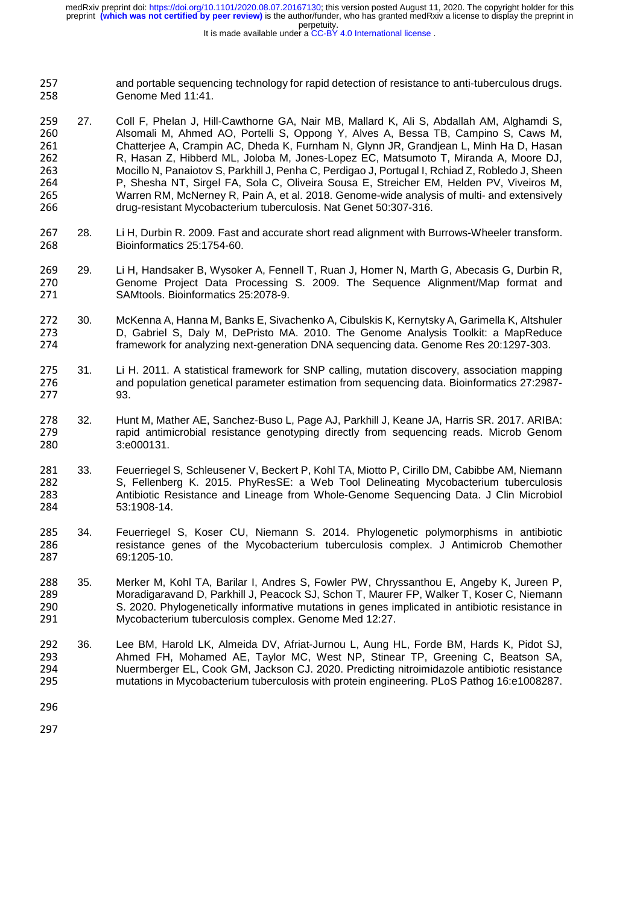- 257 and portable sequencing technology for rapid detection of resistance to anti-tuberculous drugs. 258 Genome Med 11:41.
- 259 27. Coll F, Phelan J, Hill-Cawthorne GA, Nair MB, Mallard K, Ali S, Abdallah AM, Alghamdi S, 260 Alsomali M, Ahmed AO, Portelli S, Oppong Y, Alves A, Bessa TB, Campino S, Caws M, 261 Chatterjee A, Crampin AC, Dheda K, Furnham N, Glynn JR, Grandjean L, Minh Ha D, Hasan<br>262 R, Hasan Z, Hibberd ML, Joloba M, Jones-Lopez EC, Matsumoto T, Miranda A, Moore DJ, R, Hasan Z, Hibberd ML, Joloba M, Jones-Lopez EC, Matsumoto T, Miranda A, Moore DJ, 263 Mocillo N, Panaiotov S, Parkhill J, Penha C, Perdigao J, Portugal I, Rchiad Z, Robledo J, Sheen 264 P, Shesha NT, Sirgel FA, Sola C, Oliveira Sousa E, Streicher EM, Helden PV, Viveiros M, 265 Warren RM, McNerney R, Pain A, et al. 2018. Genome-wide analysis of multi- and extensively 266 drug-resistant Mycobacterium tuberculosis. Nat Genet 50:307-316.
- 267 28. Li H, Durbin R. 2009. Fast and accurate short read alignment with Burrows-Wheeler transform.<br>268 Sionformatics 25:1754-60. Bioinformatics 25:1754-60.
- 269 29. Li H, Handsaker B, Wysoker A, Fennell T, Ruan J, Homer N, Marth G, Abecasis G, Durbin R, 270 Genome Project Data Processing S. 2009. The Sequence Alignment/Map format and 271 SAMtools. Bioinformatics 25:2078-9.
- 272 30. McKenna A, Hanna M, Banks E, Sivachenko A, Cibulskis K, Kernytsky A, Garimella K, Altshuler 273 D, Gabriel S, Daly M, DePristo MA. 2010. The Genome Analysis Toolkit: a MapReduce<br>274 framework for analyzing next-generation DNA sequencing data. Genome Res 20:1297-303. framework for analyzing next-generation DNA sequencing data. Genome Res 20:1297-303.
- 275 31. Li H. 2011. A statistical framework for SNP calling, mutation discovery, association mapping<br>276 **1990 1276** and population genetical parameter estimation from sequencing data. Bioinformatics 27:2987and population genetical parameter estimation from sequencing data. Bioinformatics 27:2987-<br>93. 277
- 278 32. Hunt M, Mather AE, Sanchez-Buso L, Page AJ, Parkhill J, Keane JA, Harris SR. 2017. ARIBA:<br>279 http://www.fapidiantimicrobial resistance genotyping directly from sequencing reads. Microb Genom 279 rapid antimicrobial resistance genotyping directly from sequencing reads. Microb Genom<br>280 3:e000131. 3:e000131.
- 281 33. Feuerriegel S, Schleusener V, Beckert P, Kohl TA, Miotto P, Cirillo DM, Cabibbe AM, Niemann 282 S, Fellenberg K. 2015. PhyResSE: a Web Tool Delineating Mycobacterium tuberculosis 283 Antibiotic Resistance and Lineage from Whole-Genome Sequencing Data. J Clin Microbiol 284 53:1908-14.
- 285 34. Feuerriegel S, Koser CU, Niemann S. 2014. Phylogenetic polymorphisms in antibiotic 286 resistance genes of the Mycobacterium tuberculosis complex. J Antimicrob Chemother 287 69:1205-10.
- 288 35. Merker M, Kohl TA, Barilar I, Andres S, Fowler PW, Chryssanthou E, Angeby K, Jureen P, 289 Moradigaravand D, Parkhill J, Peacock SJ, Schon T, Maurer FP, Walker T, Koser C, Niemann 290 S. 2020. Phylogenetically informative mutations in genes implicated in antibiotic resistance in<br>291 Mycobacterium tuberculosis complex. Genome Med 12:27. Mycobacterium tuberculosis complex. Genome Med 12:27.
- 292 36. Lee BM, Harold LK, Almeida DV, Afriat-Jurnou L, Aung HL, Forde BM, Hards K, Pidot SJ, 293 Ahmed FH, Mohamed AE, Taylor MC, West NP, Stinear TP, Greening C, Beatson SA, 294 Nuermberger EL, Cook GM, Jackson CJ. 2020. Predicting nitroimidazole antibiotic resistance 295 mutations in Mycobacterium tuberculosis with protein engineering. PLoS Pathog 16:e1008287.
- 296